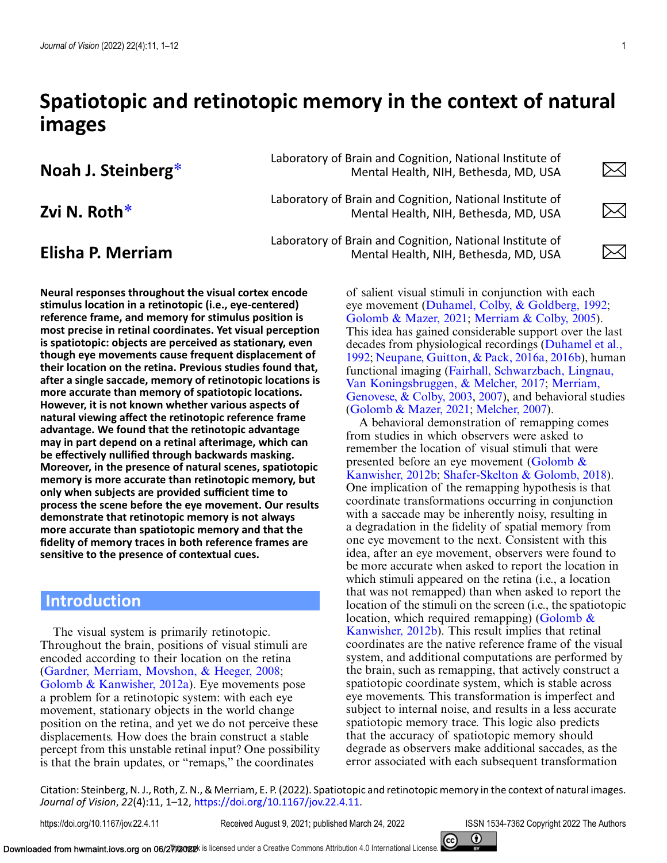# **Spatiotopic and retinotopic memory in the context of natural images**

Laboratory of Brain and Cognition, National Institute of<br>Mental Health, NIH, Bethesda, MD, USA Mental Health, NIH, Bethesda, MD, USA

Laboratory of Brain and Cognition, National Institute of<br>Mental Health, NIH, Bethesda, MD, USA

**Neural responses throughout the visual cortex encode stimulus location in a retinotopic (i.e., eye-centered) reference frame, and memory for stimulus position is most precise in retinal coordinates. Yet visual perception is spatiotopic: objects are perceived as stationary, even though eye movements cause frequent displacement of their location on the retina. Previous studies found that, after a single saccade, memory of retinotopic locations is more accurate than memory of spatiotopic locations. However, it is not known whether various aspects of natural viewing affect the retinotopic reference frame advantage. We found that the retinotopic advantage may in part depend on a retinal afterimage, which can be effectively nullified through backwards masking. Moreover, in the presence of natural scenes, spatiotopic memory is more accurate than retinotopic memory, but only when subjects are provided sufficient time to process the scene before the eye movement. Our results demonstrate that retinotopic memory is not always more accurate than spatiotopic memory and that the fidelity of memory traces in both reference frames are sensitive to the presence of contextual cues.**

## **Introduction**

The visual system is primarily retinotopic. Throughout the brain, positions of visual stimuli are encoded according to their location on the retina [\(Gardner, Merriam, Movshon, & Heeger, 2008;](#page-10-0) [Golomb & Kanwisher, 2012a\)](#page-10-0). Eye movements pose a problem for a retinotopic system: with each eye movement, stationary objects in the world change position on the retina, and yet we do not perceive these displacements. How does the brain construct a stable percept from this unstable retinal input? One possibility is that the brain updates, or "remaps," the coordinates

Laboratory of Brain and Cognition, National Institute of<br>Mental Health, NIH, Bethesda, MD, USA Mental Health, NIH, Bethesda, MD, USA

Mental Health, NIH, Bethesda, MD, USA

of salient visual stimuli in conjunction with each eye movement [\(Duhamel, Colby, & Goldberg, 1992;](#page-10-0) [Golomb & Mazer, 2021;](#page-10-0) [Merriam & Colby, 2005\)](#page-10-0). This idea has gained considerable support over the last [decades from physiological recordings \(Duhamel et al.,](#page-10-0) 1992; [Neupane, Guitton, & Pack, 2016a,](#page-10-0) [2016b\)](#page-10-0), human [functional imaging \(Fairhall, Schwarzbach, Lingnau,](#page-10-0) [Van Koningsbruggen, & Melcher, 2017;](#page-10-0) Merriam, Genovese, & Colby, 2003, [2007\)](#page-10-0), and behavioral studies [\(Golomb & Mazer, 2021;](#page-10-0) [Melcher, 2007\)](#page-10-0).

A behavioral demonstration of remapping comes from studies in which observers were asked to remember the location of visual stimuli that were presented before an eye movement (Golomb  $\&$ Kanwisher, 2012b; [Shafer-Skelton & Golomb, 2018\)](#page-11-0). One implication of the remapping hypothesis is that coordinate transformations occurring in conjunction with a saccade may be inherently noisy, resulting in a degradation in the fidelity of spatial memory from one eye movement to the next. Consistent with this idea, after an eye movement, observers were found to be more accurate when asked to report the location in which stimuli appeared on the retina (i.e., a location that was not remapped) than when asked to report the location of the stimuli on the screen (i.e., the spatiotopic location, which required remapping) (Golomb  $\&$ [Kanwisher, 2012b\). This result implies that retinal](#page-10-0) coordinates are the native reference frame of the visual system, and additional computations are performed by the brain, such as remapping, that actively construct a spatiotopic coordinate system, which is stable across eye movements. This transformation is imperfect and subject to internal noise, and results in a less accurate spatiotopic memory trace. This logic also predicts that the accuracy of spatiotopic memory should degrade as observers make additional saccades, as the error associated with each subsequent transformation

Citation: Steinberg, N. J., Roth, Z. N., & Merriam, E. P. (2022). Spatiotopic and retinotopic memory in the context of natural images. *Journal of Vision*, *22*(4):11, 1–12, [https://doi.org/10.1167/jov.22.4.11.](https://doi.org/10.1167/jov.22.4.11)

 $\times$ 

 $\times$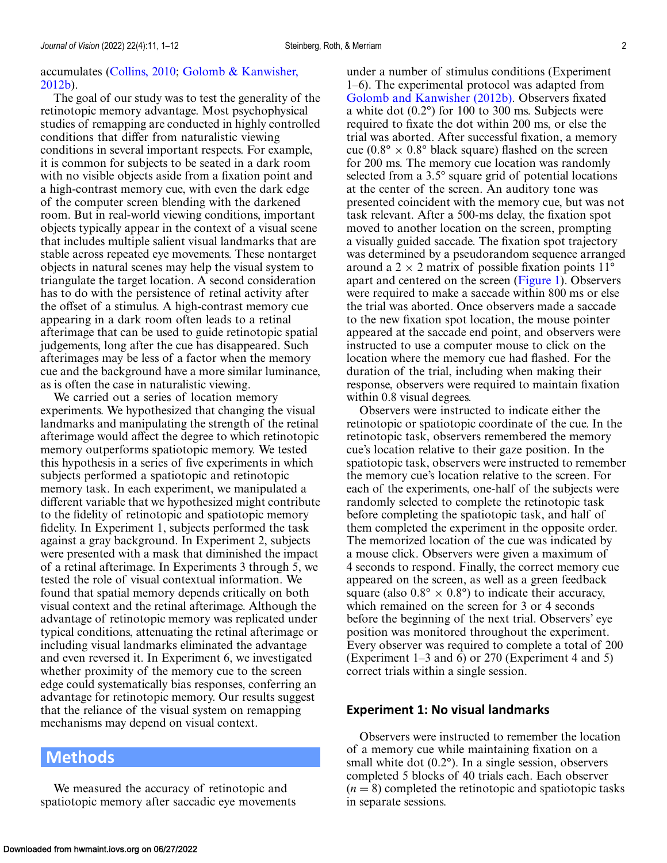## [accumulates \(Collins, 2010;](#page-10-0) Golomb & Kanwisher, 2012b).

The goal of our study was to test the generality of the retinotopic memory advantage. Most psychophysical studies of remapping are conducted in highly controlled conditions that differ from naturalistic viewing conditions in several important respects. For example, it is common for subjects to be seated in a dark room with no visible objects aside from a fixation point and a high-contrast memory cue, with even the dark edge of the computer screen blending with the darkened room. But in real-world viewing conditions, important objects typically appear in the context of a visual scene that includes multiple salient visual landmarks that are stable across repeated eye movements. These nontarget objects in natural scenes may help the visual system to triangulate the target location. A second consideration has to do with the persistence of retinal activity after the offset of a stimulus. A high-contrast memory cue appearing in a dark room often leads to a retinal afterimage that can be used to guide retinotopic spatial judgements, long after the cue has disappeared. Such afterimages may be less of a factor when the memory cue and the background have a more similar luminance, as is often the case in naturalistic viewing.

We carried out a series of location memory experiments. We hypothesized that changing the visual landmarks and manipulating the strength of the retinal afterimage would affect the degree to which retinotopic memory outperforms spatiotopic memory. We tested this hypothesis in a series of five experiments in which subjects performed a spatiotopic and retinotopic memory task. In each experiment, we manipulated a different variable that we hypothesized might contribute to the fidelity of retinotopic and spatiotopic memory fidelity. In Experiment 1, subjects performed the task against a gray background. In Experiment 2, subjects were presented with a mask that diminished the impact of a retinal afterimage. In Experiments 3 through 5, we tested the role of visual contextual information. We found that spatial memory depends critically on both visual context and the retinal afterimage. Although the advantage of retinotopic memory was replicated under typical conditions, attenuating the retinal afterimage or including visual landmarks eliminated the advantage and even reversed it. In Experiment 6, we investigated whether proximity of the memory cue to the screen edge could systematically bias responses, conferring an advantage for retinotopic memory. Our results suggest that the reliance of the visual system on remapping mechanisms may depend on visual context.

## **Methods**

We measured the accuracy of retinotopic and spatiotopic memory after saccadic eye movements

under a number of stimulus conditions (Experiment 1–6). The experimental protocol was adapted from [Golomb and Kanwisher \(2012b\).](#page-10-0) Observers fixated a white dot (0.2°) for 100 to 300 ms. Subjects were required to fixate the dot within 200 ms, or else the trial was aborted. After successful fixation, a memory cue (0.8°  $\times$  0.8° black square) flashed on the screen for 200 ms. The memory cue location was randomly selected from a 3.5° square grid of potential locations at the center of the screen. An auditory tone was presented coincident with the memory cue, but was not task relevant. After a 500-ms delay, the fixation spot moved to another location on the screen, prompting a visually guided saccade. The fixation spot trajectory was determined by a pseudorandom sequence arranged around a  $2 \times 2$  matrix of possible fixation points 11<sup>°</sup> apart and centered on the screen [\(Figure 1\)](#page-2-0). Observers were required to make a saccade within 800 ms or else the trial was aborted. Once observers made a saccade to the new fixation spot location, the mouse pointer appeared at the saccade end point, and observers were instructed to use a computer mouse to click on the location where the memory cue had flashed. For the duration of the trial, including when making their response, observers were required to maintain fixation within 0.8 visual degrees.

Observers were instructed to indicate either the retinotopic or spatiotopic coordinate of the cue. In the retinotopic task, observers remembered the memory cue's location relative to their gaze position. In the spatiotopic task, observers were instructed to remember the memory cue's location relative to the screen. For each of the experiments, one-half of the subjects were randomly selected to complete the retinotopic task before completing the spatiotopic task, and half of them completed the experiment in the opposite order. The memorized location of the cue was indicated by a mouse click. Observers were given a maximum of 4 seconds to respond. Finally, the correct memory cue appeared on the screen, as well as a green feedback square (also  $0.8^{\circ} \times 0.8^{\circ}$ ) to indicate their accuracy, which remained on the screen for 3 or 4 seconds before the beginning of the next trial. Observers' eye position was monitored throughout the experiment. Every observer was required to complete a total of 200 (Experiment 1–3 and 6) or 270 (Experiment 4 and 5) correct trials within a single session.

## **Experiment 1: No visual landmarks**

Observers were instructed to remember the location of a memory cue while maintaining fixation on a small white dot  $(0.2^{\circ})$ . In a single session, observers completed 5 blocks of 40 trials each. Each observer  $(n = 8)$  completed the retinotopic and spatiotopic tasks in separate sessions.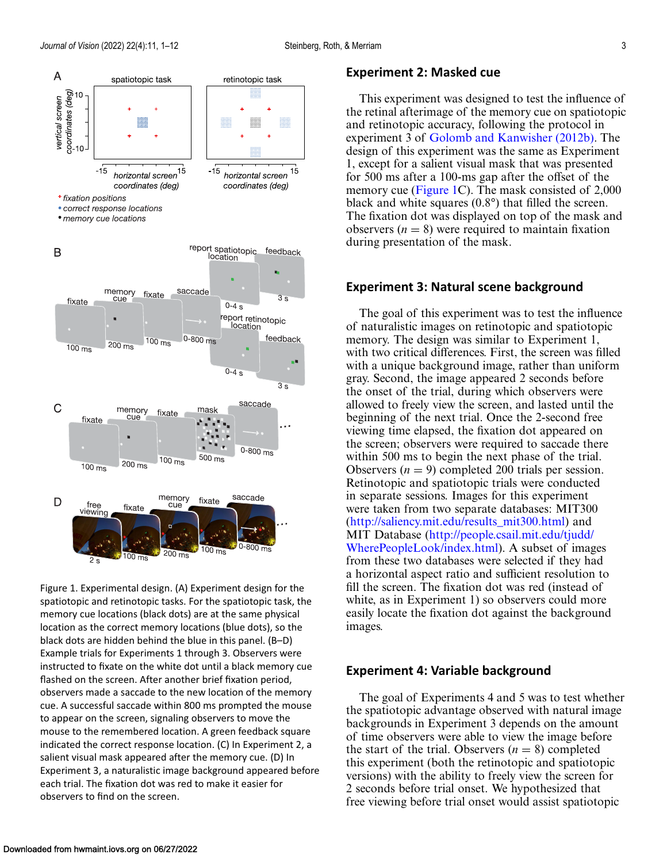<span id="page-2-0"></span>

Figure 1. Experimental design. (A) Experiment design for the spatiotopic and retinotopic tasks. For the spatiotopic task, the memory cue locations (black dots) are at the same physical location as the correct memory locations (blue dots), so the black dots are hidden behind the blue in this panel. (B–D) Example trials for Experiments 1 through 3. Observers were instructed to fixate on the white dot until a black memory cue flashed on the screen. After another brief fixation period, observers made a saccade to the new location of the memory cue. A successful saccade within 800 ms prompted the mouse to appear on the screen, signaling observers to move the mouse to the remembered location. A green feedback square indicated the correct response location. (C) In Experiment 2, a salient visual mask appeared after the memory cue. (D) In Experiment 3, a naturalistic image background appeared before each trial. The fixation dot was red to make it easier for observers to find on the screen.

200 ms

 $100 \text{ ms}$ 

### **Experiment 2: Masked cue**

This experiment was designed to test the influence of the retinal afterimage of the memory cue on spatiotopic and retinotopic accuracy, following the protocol in experiment 3 of [Golomb and Kanwisher \(2012b\).](#page-10-0) The design of this experiment was the same as Experiment 1, except for a salient visual mask that was presented for 500 ms after a 100-ms gap after the offset of the memory cue (Figure 1C). The mask consisted of 2,000 black and white squares (0.8°) that filled the screen. The fixation dot was displayed on top of the mask and observers  $(n = 8)$  were required to maintain fixation during presentation of the mask.

## **Experiment 3: Natural scene background**

The goal of this experiment was to test the influence of naturalistic images on retinotopic and spatiotopic memory. The design was similar to Experiment 1, with two critical differences. First, the screen was filled with a unique background image, rather than uniform gray. Second, the image appeared 2 seconds before the onset of the trial, during which observers were allowed to freely view the screen, and lasted until the beginning of the next trial. Once the 2-second free viewing time elapsed, the fixation dot appeared on the screen; observers were required to saccade there within 500 ms to begin the next phase of the trial. Observers  $(n = 9)$  completed 200 trials per session. Retinotopic and spatiotopic trials were conducted in separate sessions. Images for this experiment were taken from two separate databases: MIT300 [\(http://saliency.mit.edu/results\\_mit300.html\)](http://saliency.mit.edu/resultsmit300.html) and MIT Database (http://people.csail.mit.edu/tjudd/ [WherePeopleLook/index.html\). A subset of imag](http://people.csail.mit.edu/tjudd/WherePeopleLook/index.html)es from these two databases were selected if they had a horizontal aspect ratio and sufficient resolution to fill the screen. The fixation dot was red (instead of white, as in Experiment 1) so observers could more easily locate the fixation dot against the background images.

## **Experiment 4: Variable background**

The goal of Experiments 4 and 5 was to test whether the spatiotopic advantage observed with natural image backgrounds in Experiment 3 depends on the amount of time observers were able to view the image before the start of the trial. Observers  $(n = 8)$  completed this experiment (both the retinotopic and spatiotopic versions) with the ability to freely view the screen for 2 seconds before trial onset. We hypothesized that free viewing before trial onset would assist spatiotopic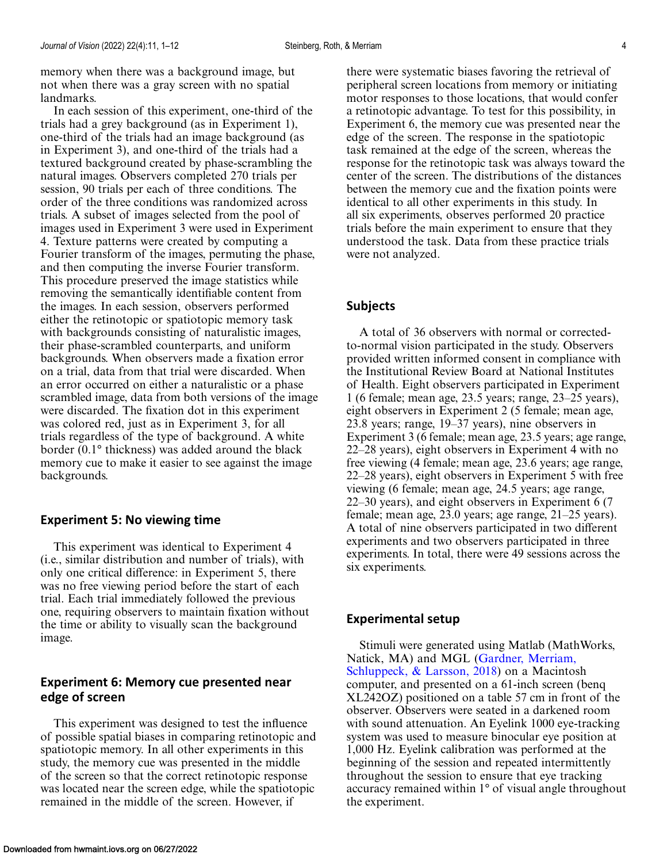memory when there was a background image, but not when there was a gray screen with no spatial landmarks.

In each session of this experiment, one-third of the trials had a grey background (as in Experiment 1), one-third of the trials had an image background (as in Experiment 3), and one-third of the trials had a textured background created by phase-scrambling the natural images. Observers completed 270 trials per session, 90 trials per each of three conditions. The order of the three conditions was randomized across trials. A subset of images selected from the pool of images used in Experiment 3 were used in Experiment 4. Texture patterns were created by computing a Fourier transform of the images, permuting the phase, and then computing the inverse Fourier transform. This procedure preserved the image statistics while removing the semantically identifiable content from the images. In each session, observers performed either the retinotopic or spatiotopic memory task with backgrounds consisting of naturalistic images, their phase-scrambled counterparts, and uniform backgrounds. When observers made a fixation error on a trial, data from that trial were discarded. When an error occurred on either a naturalistic or a phase scrambled image, data from both versions of the image were discarded. The fixation dot in this experiment was colored red, just as in Experiment 3, for all trials regardless of the type of background. A white border (0.1° thickness) was added around the black memory cue to make it easier to see against the image backgrounds.

#### **Experiment 5: No viewing time**

This experiment was identical to Experiment 4 (i.e., similar distribution and number of trials), with only one critical difference: in Experiment 5, there was no free viewing period before the start of each trial. Each trial immediately followed the previous one, requiring observers to maintain fixation without the time or ability to visually scan the background image.

## **Experiment 6: Memory cue presented near edge of screen**

This experiment was designed to test the influence of possible spatial biases in comparing retinotopic and spatiotopic memory. In all other experiments in this study, the memory cue was presented in the middle of the screen so that the correct retinotopic response was located near the screen edge, while the spatiotopic remained in the middle of the screen. However, if

there were systematic biases favoring the retrieval of peripheral screen locations from memory or initiating motor responses to those locations, that would confer a retinotopic advantage. To test for this possibility, in Experiment 6, the memory cue was presented near the edge of the screen. The response in the spatiotopic task remained at the edge of the screen, whereas the response for the retinotopic task was always toward the center of the screen. The distributions of the distances between the memory cue and the fixation points were identical to all other experiments in this study. In all six experiments, observes performed 20 practice trials before the main experiment to ensure that they understood the task. Data from these practice trials were not analyzed.

## **Subjects**

A total of 36 observers with normal or correctedto-normal vision participated in the study. Observers provided written informed consent in compliance with the Institutional Review Board at National Institutes of Health. Eight observers participated in Experiment 1 (6 female; mean age, 23.5 years; range, 23–25 years), eight observers in Experiment 2 (5 female; mean age, 23.8 years; range, 19–37 years), nine observers in Experiment 3 (6 female; mean age, 23.5 years; age range, 22–28 years), eight observers in Experiment 4 with no free viewing (4 female; mean age, 23.6 years; age range, 22–28 years), eight observers in Experiment 5 with free viewing (6 female; mean age, 24.5 years; age range, 22–30 years), and eight observers in Experiment 6 (7 female; mean age, 23.0 years; age range, 21–25 years). A total of nine observers participated in two different experiments and two observers participated in three experiments. In total, there were 49 sessions across the six experiments.

#### **Experimental setup**

Stimuli were generated using Matlab (MathWorks, Natick, MA) and MGL (Gardner, Merriam, [Schluppeck, & Larsson, 2018\) on a Macintos](#page-10-0)h computer, and presented on a 61-inch screen (benq XL242OZ) positioned on a table 57 cm in front of the observer. Observers were seated in a darkened room with sound attenuation. An Eyelink 1000 eye-tracking system was used to measure binocular eye position at 1,000 Hz. Eyelink calibration was performed at the beginning of the session and repeated intermittently throughout the session to ensure that eye tracking accuracy remained within 1° of visual angle throughout the experiment.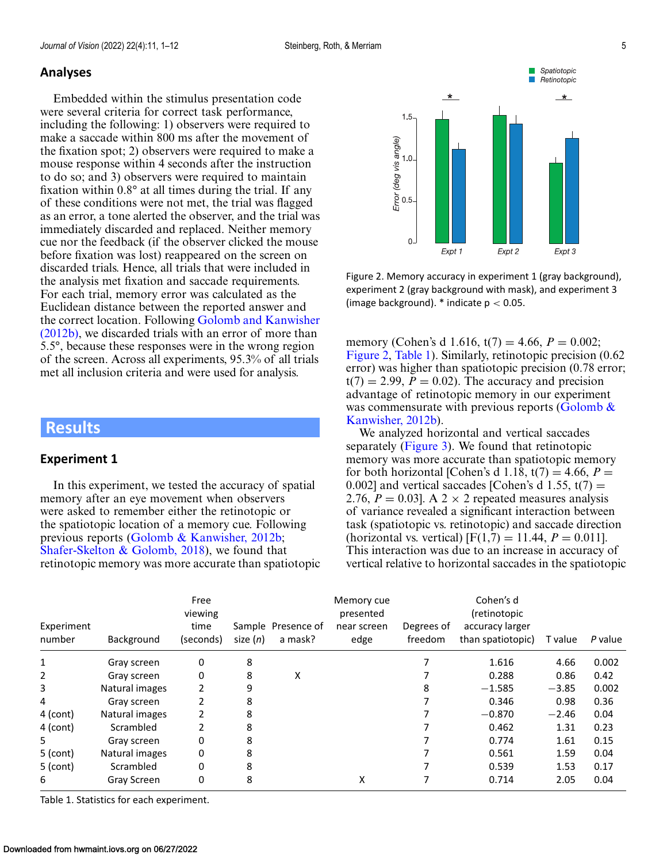## <span id="page-4-0"></span>**Analyses**

Embedded within the stimulus presentation code were several criteria for correct task performance, including the following: 1) observers were required to make a saccade within 800 ms after the movement of the fixation spot; 2) observers were required to make a mouse response within 4 seconds after the instruction to do so; and 3) observers were required to maintain fixation within 0.8° at all times during the trial. If any of these conditions were not met, the trial was flagged as an error, a tone alerted the observer, and the trial was immediately discarded and replaced. Neither memory cue nor the feedback (if the observer clicked the mouse before fixation was lost) reappeared on the screen on discarded trials. Hence, all trials that were included in the analysis met fixation and saccade requirements. For each trial, memory error was calculated as the Euclidean distance between the reported answer and the correct location. Following Golomb and Kanwisher [\(2012b\), we discarded trials with an error of more than](#page-10-0) 5.5°, because these responses were in the wrong region of the screen. Across all experiments, 95.3% of all trials met all inclusion criteria and were used for analysis.

## **Results**

#### **Experiment 1**

In this experiment, we tested the accuracy of spatial memory after an eye movement when observers were asked to remember either the retinotopic or the spatiotopic location of a memory cue. Following previous reports [\(Golomb & Kanwisher, 2012b;](#page-10-0) [Shafer-Skelton & Golomb, 2018\)](#page-11-0), we found that retinotopic memory was more accurate than spatiotopic



Figure 2. Memory accuracy in experiment 1 (gray background), experiment 2 (gray background with mask), and experiment 3 (image background).  $*$  indicate  $p < 0.05$ .

memory (Cohen's d 1.616,  $t(7) = 4.66$ ,  $P = 0.002$ ; Figure 2, Table 1). Similarly, retinotopic precision (0.62 error) was higher than spatiotopic precision (0.78 error;  $t(7) = 2.99$ ,  $P = 0.02$ ). The accuracy and precision advantage of retinotopic memory in our experiment was commensurate with previous reports (Golomb  $\&$ Kanwisher, 2012b).

We analyzed horizontal and vertical saccades separately [\(Figure 3\)](#page-5-0). We found that retinotopic memory was more accurate than spatiotopic memory for both horizontal [Cohen's d 1.18,  $t(7) = 4.66$ ,  $P =$ 0.002] and vertical saccades [Cohen's d 1.55,  $t(7) =$ 2.76,  $P = 0.03$ ]. A 2  $\times$  2 repeated measures analysis of variance revealed a significant interaction between task (spatiotopic vs. retinotopic) and saccade direction (horizontal vs. vertical)  $[F(1,7) = 11.44, P = 0.011]$ . This interaction was due to an increase in accuracy of vertical relative to horizontal saccades in the spatiotopic

| Experiment<br>number | Background     | Free<br>viewing<br>time<br>(seconds) | size $(n)$ | Sample Presence of<br>a mask? | Memory cue<br>presented<br>near screen<br>edge | Degrees of<br>freedom | Cohen's d<br>(retinotopic<br>accuracy larger<br>than spatiotopic) | T value | P value |
|----------------------|----------------|--------------------------------------|------------|-------------------------------|------------------------------------------------|-----------------------|-------------------------------------------------------------------|---------|---------|
| $\mathbf 1$          | Gray screen    | 0                                    | 8          |                               |                                                |                       | 1.616                                                             | 4.66    | 0.002   |
| 2                    | Gray screen    | 0                                    | 8          | x                             |                                                |                       | 0.288                                                             | 0.86    | 0.42    |
| 3                    | Natural images | 2                                    | 9          |                               |                                                | 8                     | $-1.585$                                                          | $-3.85$ | 0.002   |
| 4                    | Gray screen    | 2                                    | 8          |                               |                                                |                       | 0.346                                                             | 0.98    | 0.36    |
| 4 (cont)             | Natural images | 2                                    | 8          |                               |                                                |                       | $-0.870$                                                          | $-2.46$ | 0.04    |
| 4 (cont)             | Scrambled      | 2                                    | 8          |                               |                                                |                       | 0.462                                                             | 1.31    | 0.23    |
| 5.                   | Gray screen    | 0                                    | 8          |                               |                                                |                       | 0.774                                                             | 1.61    | 0.15    |
| $5$ (cont)           | Natural images | 0                                    | 8          |                               |                                                |                       | 0.561                                                             | 1.59    | 0.04    |
| $5$ (cont)           | Scrambled      | 0                                    | 8          |                               |                                                |                       | 0.539                                                             | 1.53    | 0.17    |
| 6                    | Gray Screen    | 0                                    | 8          |                               | x                                              |                       | 0.714                                                             | 2.05    | 0.04    |

Table 1. Statistics for each experiment.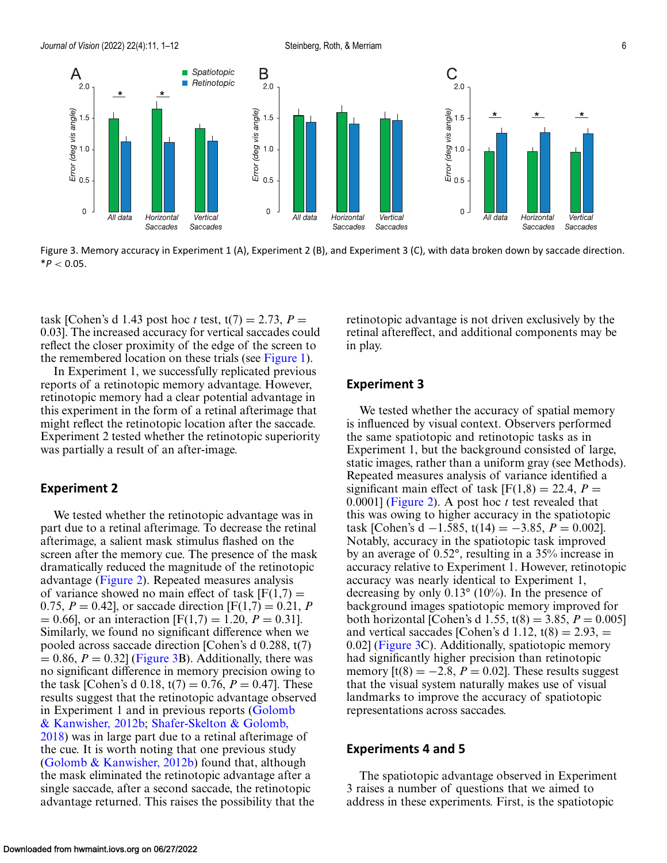<span id="page-5-0"></span>

Figure 3. Memory accuracy in Experiment 1 (A), Experiment 2 (B), and Experiment 3 (C), with data broken down by saccade direction. \**P* < 0.05.

task [Cohen's d 1.43 post hoc *t* test,  $t(7) = 2.73$ ,  $P =$ 0.03]. The increased accuracy for vertical saccades could reflect the closer proximity of the edge of the screen to the remembered location on these trials (see [Figure 1\)](#page-2-0).

In Experiment 1, we successfully replicated previous reports of a retinotopic memory advantage. However, retinotopic memory had a clear potential advantage in this experiment in the form of a retinal afterimage that might reflect the retinotopic location after the saccade. Experiment 2 tested whether the retinotopic superiority was partially a result of an after-image.

## **Experiment 2**

We tested whether the retinotopic advantage was in part due to a retinal afterimage. To decrease the retinal afterimage, a salient mask stimulus flashed on the screen after the memory cue. The presence of the mask dramatically reduced the magnitude of the retinotopic advantage [\(Figure 2\)](#page-4-0). Repeated measures analysis of variance showed no main effect of task  $[F(1,7) =$ 0.75,  $P = 0.42$ , or saccade direction  $[F(1,7) = 0.21, P$  $= 0.66$ , or an interaction [F(1,7) = 1.20, *P* = 0.31]. Similarly, we found no significant difference when we pooled across saccade direction [Cohen's d 0.288, t(7)  $= 0.86, P = 0.32$  (Figure 3B). Additionally, there was no significant difference in memory precision owing to the task [Cohen's d 0.18,  $t(7) = 0.76$ ,  $P = 0.47$ ]. These results suggest that the retinotopic advantage observed [in Experiment 1 and in previous reports \(Golomb](#page-10-0) & Kanwisher, 2012b; Shafer-Skelton & Golomb, [2018\) was in large part due to a retinal afterimage](#page-11-0) of the cue. It is worth noting that one previous study [\(Golomb & Kanwisher, 2012b\)](#page-10-0) found that, although the mask eliminated the retinotopic advantage after a single saccade, after a second saccade, the retinotopic advantage returned. This raises the possibility that the

retinotopic advantage is not driven exclusively by the retinal aftereffect, and additional components may be in play.

## **Experiment 3**

We tested whether the accuracy of spatial memory is influenced by visual context. Observers performed the same spatiotopic and retinotopic tasks as in Experiment 1, but the background consisted of large, static images, rather than a uniform gray (see Methods). Repeated measures analysis of variance identified a significant main effect of task  $[F(1,8) = 22.4, P =$ 0.0001] [\(Figure 2\)](#page-4-0). A post hoc *t* test revealed that this was owing to higher accuracy in the spatiotopic task [Cohen's d −1.585, t(14) = −3.85,  $P = 0.002$ ]. Notably, accuracy in the spatiotopic task improved by an average of 0.52°, resulting in a 35% increase in accuracy relative to Experiment 1. However, retinotopic accuracy was nearly identical to Experiment 1, decreasing by only 0.13° (10%). In the presence of background images spatiotopic memory improved for both horizontal [Cohen's d 1.55,  $t(8) = 3.85$ ,  $P = 0.005$ ] and vertical saccades [Cohen's d 1.12,  $t(8) = 2.93$ ,  $=$ 0.02] (Figure 3C). Additionally, spatiotopic memory had significantly higher precision than retinotopic memory  $[t(8) = -2.8, P = 0.02]$ . These results suggest that the visual system naturally makes use of visual landmarks to improve the accuracy of spatiotopic representations across saccades.

#### **Experiments 4 and 5**

The spatiotopic advantage observed in Experiment 3 raises a number of questions that we aimed to address in these experiments. First, is the spatiotopic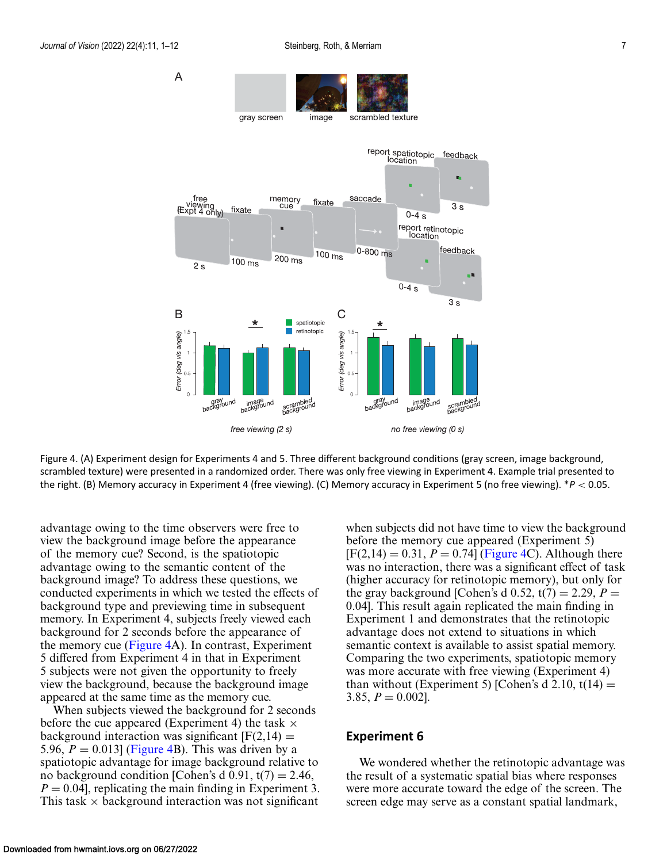

Figure 4. (A) Experiment design for Experiments 4 and 5. Three different background conditions (gray screen, image background, scrambled texture) were presented in a randomized order. There was only free viewing in Experiment 4. Example trial presented to the right. (B) Memory accuracy in Experiment 4 (free viewing). (C) Memory accuracy in Experiment 5 (no free viewing). \**P* < 0.05.

advantage owing to the time observers were free to view the background image before the appearance of the memory cue? Second, is the spatiotopic advantage owing to the semantic content of the background image? To address these questions, we conducted experiments in which we tested the effects of background type and previewing time in subsequent memory. In Experiment 4, subjects freely viewed each background for 2 seconds before the appearance of the memory cue (Figure 4A). In contrast, Experiment 5 differed from Experiment 4 in that in Experiment 5 subjects were not given the opportunity to freely view the background, because the background image appeared at the same time as the memory cue.

When subjects viewed the background for 2 seconds before the cue appeared (Experiment 4) the task  $\times$ background interaction was significant  $[F(2,14) =$ 5.96,  $P = 0.013$  (Figure 4B). This was driven by a spatiotopic advantage for image background relative to no background condition [Cohen's d 0.91,  $t(7) = 2.46$ ,  $P = 0.04$ , replicating the main finding in Experiment 3. This task  $\times$  background interaction was not significant

when subjects did not have time to view the background before the memory cue appeared (Experiment 5)  $[F(2,14) = 0.31, P = 0.74]$  (Figure 4C). Although there was no interaction, there was a significant effect of task (higher accuracy for retinotopic memory), but only for the gray background [Cohen's d  $0.52$ ,  $t(7) = 2.29$ ,  $P =$ 0.04]. This result again replicated the main finding in Experiment 1 and demonstrates that the retinotopic advantage does not extend to situations in which semantic context is available to assist spatial memory. Comparing the two experiments, spatiotopic memory was more accurate with free viewing (Experiment 4) than without (Experiment 5) [Cohen's d 2.10,  $t(14) =$ 3.85,  $P = 0.002$ .

## **Experiment 6**

We wondered whether the retinotopic advantage was the result of a systematic spatial bias where responses were more accurate toward the edge of the screen. The screen edge may serve as a constant spatial landmark,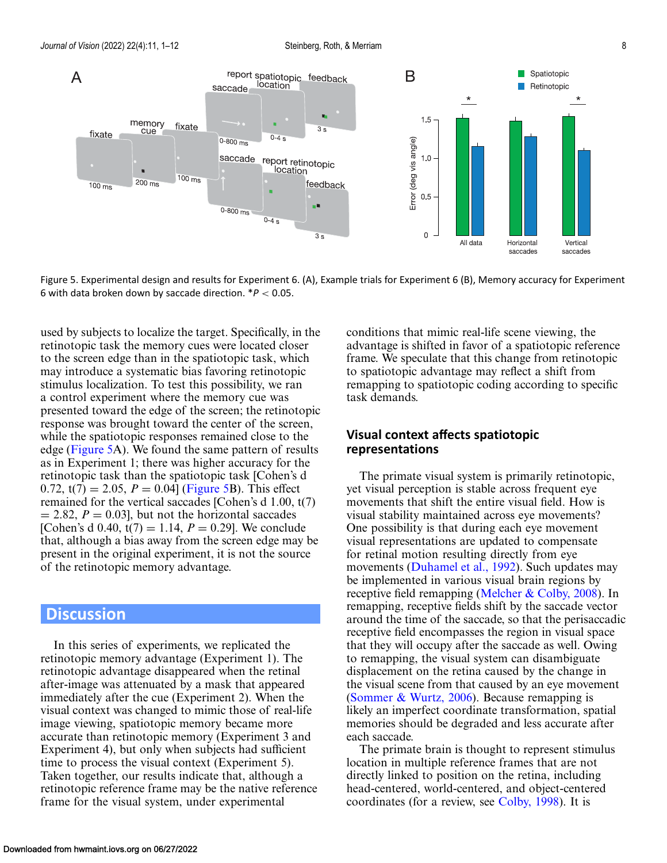

Figure 5. Experimental design and results for Experiment 6. (A), Example trials for Experiment 6 (B), Memory accuracy for Experiment 6 with data broken down by saccade direction. \**P* < 0.05.

used by subjects to localize the target. Specifically, in the retinotopic task the memory cues were located closer to the screen edge than in the spatiotopic task, which may introduce a systematic bias favoring retinotopic stimulus localization. To test this possibility, we ran a control experiment where the memory cue was presented toward the edge of the screen; the retinotopic response was brought toward the center of the screen, while the spatiotopic responses remained close to the edge (Figure 5A). We found the same pattern of results as in Experiment 1; there was higher accuracy for the retinotopic task than the spatiotopic task [Cohen's d 0.72,  $t(7) = 2.05$ ,  $P = 0.04$  (Figure 5B). This effect remained for the vertical saccades [Cohen's d 1.00, t(7)  $= 2.82, P = 0.03$ , but not the horizontal saccades [Cohen's d 0.40,  $t(7) = 1.14$ ,  $P = 0.29$ ]. We conclude that, although a bias away from the screen edge may be present in the original experiment, it is not the source of the retinotopic memory advantage.

## **Discussion**

In this series of experiments, we replicated the retinotopic memory advantage (Experiment 1). The retinotopic advantage disappeared when the retinal after-image was attenuated by a mask that appeared immediately after the cue (Experiment 2). When the visual context was changed to mimic those of real-life image viewing, spatiotopic memory became more accurate than retinotopic memory (Experiment 3 and Experiment 4), but only when subjects had sufficient time to process the visual context (Experiment 5). Taken together, our results indicate that, although a retinotopic reference frame may be the native reference frame for the visual system, under experimental

conditions that mimic real-life scene viewing, the advantage is shifted in favor of a spatiotopic reference frame. We speculate that this change from retinotopic to spatiotopic advantage may reflect a shift from remapping to spatiotopic coding according to specific task demands.

## **Visual context affects spatiotopic representations**

The primate visual system is primarily retinotopic, yet visual perception is stable across frequent eye movements that shift the entire visual field. How is visual stability maintained across eye movements? One possibility is that during each eye movement visual representations are updated to compensate for retinal motion resulting directly from eye movements [\(Duhamel et al., 1992\)](#page-10-0). Such updates may be implemented in various visual brain regions by receptive field remapping [\(Melcher & Colby, 2008\)](#page-10-0). In remapping, receptive fields shift by the saccade vector around the time of the saccade, so that the perisaccadic receptive field encompasses the region in visual space that they will occupy after the saccade as well. Owing to remapping, the visual system can disambiguate displacement on the retina caused by the change in the visual scene from that caused by an eye movement [\(Sommer & Wurtz, 2006\)](#page-11-0). Because remapping is likely an imperfect coordinate transformation, spatial memories should be degraded and less accurate after each saccade.

The primate brain is thought to represent stimulus location in multiple reference frames that are not directly linked to position on the retina, including head-centered, world-centered, and object-centered coordinates (for a review, see [Colby, 1998\)](#page-10-0). It is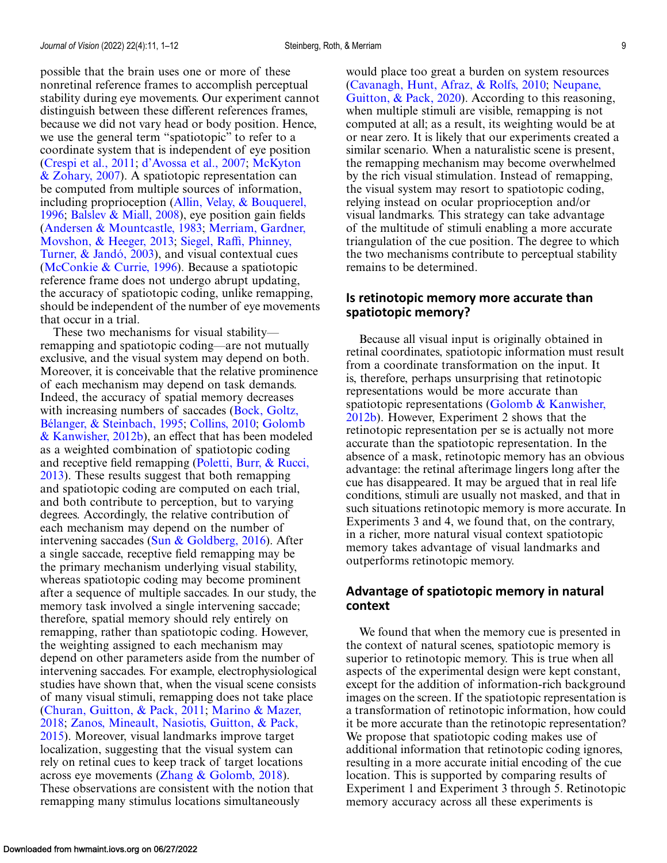possible that the brain uses one or more of these nonretinal reference frames to accomplish perceptual stability during eye movements. Our experiment cannot distinguish between these different references frames, because we did not vary head or body position. Hence, we use the general term "spatiotopic" to refer to a coordinate system that is independent of eye position [\(Crespi et al., 2011;](#page-10-0) [d'Avossa et al., 2007;](#page-10-0) McKyton [& Zohary, 2007\). A spatiotopic representation can](#page-10-0) be computed from multiple sources of information, [including proprioception \(Allin, Velay, & Bouquerel,](#page-9-0) 1996; [Balslev & Miall, 2008\)](#page-9-0), eye position gain fields [\(](#page-10-0)[Andersen & Mountcastle, 1983](#page-9-0)[;](#page-10-0) Merriam, Gardner, Movshon, & Heeger, 2013; Siegel, Raffi, Phinney, [Turner, & Jandó, 2003\), and visual contextual cues](#page-11-0) [\(McConkie & Currie, 1996\)](#page-10-0). Because a spatiotopic reference frame does not undergo abrupt updating, the accuracy of spatiotopic coding, unlike remapping, should be independent of the number of eye movements that occur in a trial.

These two mechanisms for visual stability remapping and spatiotopic coding—are not mutually exclusive, and the visual system may depend on both. Moreover, it is conceivable that the relative prominence of each mechanism may depend on task demands. Indeed, the accuracy of spatial memory decreases [with increasing numbers of saccades \(Bock, Goltz,](#page-9-0) Bélanger, & Steinbach, 1995; [Collins, 2010;](#page-10-0) Golomb [& Kanwisher, 2012b\), an effect that has been modeled](#page-10-0) as a weighted combination of spatiotopic coding [and receptive field remapping \(Poletti, Burr, & Rucci,](#page-11-0) 2013). These results suggest that both remapping and spatiotopic coding are computed on each trial, and both contribute to perception, but to varying degrees. Accordingly, the relative contribution of each mechanism may depend on the number of intervening saccades (Sun  $\&$  Goldberg, 2016). After a single saccade, receptive field remapping may be the primary mechanism underlying visual stability, whereas spatiotopic coding may become prominent after a sequence of multiple saccades. In our study, the memory task involved a single intervening saccade; therefore, spatial memory should rely entirely on remapping, rather than spatiotopic coding. However, the weighting assigned to each mechanism may depend on other parameters aside from the number of intervening saccades. For example, electrophysiological studies have shown that, when the visual scene consists of many visual stimuli, remapping does not take place [\(Churan, Guitton, & Pack, 2011;](#page-10-0) Marino & Mazer, 2018; [Zanos, Mineault, Nasiotis, Guitton, & Pack,](#page-10-0) [2015\). Moreover, visual landmarks improve target](#page-11-0) localization, suggesting that the visual system can rely on retinal cues to keep track of target locations across eye movements [\(Zhang & Golomb, 2018\)](#page-11-0). These observations are consistent with the notion that remapping many stimulus locations simultaneously

would place too great a burden on system resources [\(Cavanagh, Hunt, Afraz, & Rolfs, 2010;](#page-10-0) Neupane, [Guitton, & Pack, 2020\). According to this reasonin](#page-10-0)g, when multiple stimuli are visible, remapping is not computed at all; as a result, its weighting would be at or near zero. It is likely that our experiments created a similar scenario. When a naturalistic scene is present, the remapping mechanism may become overwhelmed by the rich visual stimulation. Instead of remapping, the visual system may resort to spatiotopic coding, relying instead on ocular proprioception and/or visual landmarks. This strategy can take advantage of the multitude of stimuli enabling a more accurate triangulation of the cue position. The degree to which the two mechanisms contribute to perceptual stability remains to be determined.

## **Is retinotopic memory more accurate than spatiotopic memory?**

Because all visual input is originally obtained in retinal coordinates, spatiotopic information must result from a coordinate transformation on the input. It is, therefore, perhaps unsurprising that retinotopic representations would be more accurate than [spatiotopic representations \(Golomb & Kanwisher,](#page-10-0) 2012b). However, Experiment 2 shows that the retinotopic representation per se is actually not more accurate than the spatiotopic representation. In the absence of a mask, retinotopic memory has an obvious advantage: the retinal afterimage lingers long after the cue has disappeared. It may be argued that in real life conditions, stimuli are usually not masked, and that in such situations retinotopic memory is more accurate. In Experiments 3 and 4, we found that, on the contrary, in a richer, more natural visual context spatiotopic memory takes advantage of visual landmarks and outperforms retinotopic memory.

## **Advantage of spatiotopic memory in natural context**

We found that when the memory cue is presented in the context of natural scenes, spatiotopic memory is superior to retinotopic memory. This is true when all aspects of the experimental design were kept constant, except for the addition of information-rich background images on the screen. If the spatiotopic representation is a transformation of retinotopic information, how could it be more accurate than the retinotopic representation? We propose that spatiotopic coding makes use of additional information that retinotopic coding ignores, resulting in a more accurate initial encoding of the cue location. This is supported by comparing results of Experiment 1 and Experiment 3 through 5. Retinotopic memory accuracy across all these experiments is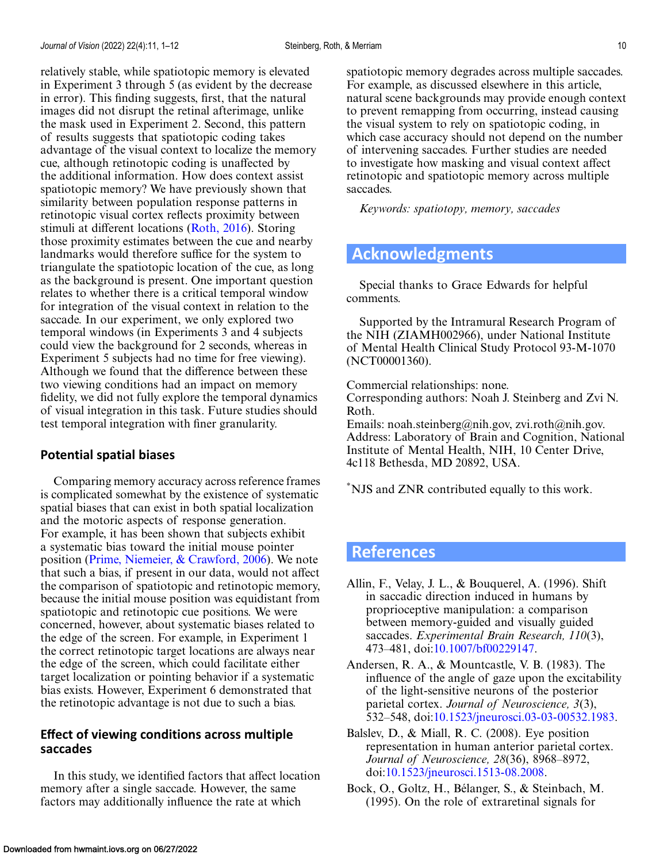<span id="page-9-0"></span>relatively stable, while spatiotopic memory is elevated in Experiment 3 through 5 (as evident by the decrease in error). This finding suggests, first, that the natural images did not disrupt the retinal afterimage, unlike the mask used in Experiment 2. Second, this pattern of results suggests that spatiotopic coding takes advantage of the visual context to localize the memory cue, although retinotopic coding is unaffected by the additional information. How does context assist spatiotopic memory? We have previously shown that similarity between population response patterns in retinotopic visual cortex reflects proximity between stimuli at different locations [\(Roth, 2016\)](#page-11-0). Storing those proximity estimates between the cue and nearby landmarks would therefore suffice for the system to triangulate the spatiotopic location of the cue, as long as the background is present. One important question relates to whether there is a critical temporal window for integration of the visual context in relation to the saccade. In our experiment, we only explored two temporal windows (in Experiments 3 and 4 subjects could view the background for 2 seconds, whereas in Experiment 5 subjects had no time for free viewing). Although we found that the difference between these two viewing conditions had an impact on memory fidelity, we did not fully explore the temporal dynamics of visual integration in this task. Future studies should test temporal integration with finer granularity.

## **Potential spatial biases**

Comparing memory accuracy across reference frames is complicated somewhat by the existence of systematic spatial biases that can exist in both spatial localization and the motoric aspects of response generation. For example, it has been shown that subjects exhibit a systematic bias toward the initial mouse pointer position [\(Prime, Niemeier, & Crawford, 2006\)](#page-11-0). We note that such a bias, if present in our data, would not affect the comparison of spatiotopic and retinotopic memory, because the initial mouse position was equidistant from spatiotopic and retinotopic cue positions. We were concerned, however, about systematic biases related to the edge of the screen. For example, in Experiment 1 the correct retinotopic target locations are always near the edge of the screen, which could facilitate either target localization or pointing behavior if a systematic bias exists. However, Experiment 6 demonstrated that the retinotopic advantage is not due to such a bias.

## **Effect of viewing conditions across multiple saccades**

In this study, we identified factors that affect location memory after a single saccade. However, the same factors may additionally influence the rate at which

spatiotopic memory degrades across multiple saccades. For example, as discussed elsewhere in this article, natural scene backgrounds may provide enough context to prevent remapping from occurring, instead causing the visual system to rely on spatiotopic coding, in which case accuracy should not depend on the number of intervening saccades. Further studies are needed to investigate how masking and visual context affect retinotopic and spatiotopic memory across multiple saccades.

*Keywords: spatiotopy, memory, saccades*

## **Acknowledgments**

Special thanks to Grace Edwards for helpful comments.

Supported by the Intramural Research Program of the NIH (ZIAMH002966), under National Institute of Mental Health Clinical Study Protocol 93-M-1070 (NCT00001360).

Commercial relationships: none. Corresponding authors: Noah J. Steinberg and Zvi N. Roth.

Emails: noah.steinberg@nih.gov, zvi.roth@nih.gov. Address: Laboratory of Brain and Cognition, National Institute of Mental Health, NIH, 10 Center Drive, 4c118 Bethesda, MD 20892, USA.

\*NJS and ZNR contributed equally to this work.

## **References**

- Allin, F., Velay, J. L., & Bouquerel, A. (1996). Shift in saccadic direction induced in humans by proprioceptive manipulation: a comparison between memory-guided and visually guided saccades. *Experimental Brain Research, 110*(3), 473–481, doi[:10.1007/bf00229147.](http://doi.org/10.1007/bf00229147)
- Andersen, R. A., & Mountcastle, V. B. (1983). The influence of the angle of gaze upon the excitability of the light-sensitive neurons of the posterior parietal cortex. *Journal of Neuroscience, 3*(3), 532–548, doi[:10.1523/jneurosci.03-03-00532.1983.](http://doi.org/10.1523/jneurosci.03-03-00532.1983)
- Balslev, D., & Miall, R. C. (2008). Eye position representation in human anterior parietal cortex. *Journal of Neuroscience, 28*(36), 8968–8972, doi[:10.1523/jneurosci.1513-08.2008.](http://doi.org/10.1523/jneurosci.1513-08.2008)
- Bock, O., Goltz, H., Bélanger, S., & Steinbach, M. (1995). On the role of extraretinal signals for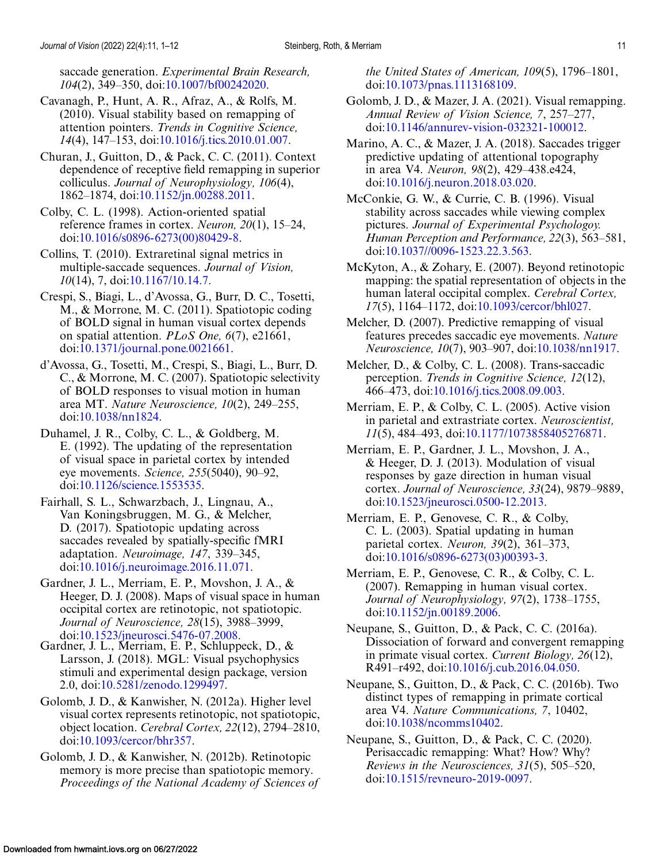<span id="page-10-0"></span>saccade generation. *Experimental Brain Research, 104*(2), 349–350, doi[:10.1007/bf00242020.](http://doi.org/10.1007/bf00242020)

Cavanagh, P., Hunt, A. R., Afraz, A., & Rolfs, M. (2010). Visual stability based on remapping of attention pointers. *Trends in Cognitive Science, 14*(4), 147–153, doi[:10.1016/j.tics.2010.01.007.](http://doi.org/10.1016/j.tics.2010.01.007)

Churan, J., Guitton, D., & Pack, C. C. (2011). Context dependence of receptive field remapping in superior colliculus. *Journal of Neurophysiology, 106*(4), 1862–1874, doi[:10.1152/jn.00288.2011.](http://doi.org/10.1152/jn.00288.2011)

Colby, C. L. (1998). Action-oriented spatial reference frames in cortex. *Neuron, 20*(1), 15–24, doi[:10.1016/s0896-6273\(00\)80429-8.](http://doi.org/10.1016/s0896-6273(00)80429-8)

Collins, T. (2010). Extraretinal signal metrics in multiple-saccade sequences. *Journal of Vision, 10*(14), 7, doi[:10.1167/10.14.7.](http://doi.org/10.1167/10.14.7)

Crespi, S., Biagi, L., d'Avossa, G., Burr, D. C., Tosetti, M., & Morrone, M. C. (2011). Spatiotopic coding of BOLD signal in human visual cortex depends on spatial attention. *PLoS One, 6*(7), e21661, doi[:10.1371/journal.pone.0021661.](http://doi.org/10.1371/journal.pone.0021661)

d'Avossa, G., Tosetti, M., Crespi, S., Biagi, L., Burr, D. C., & Morrone, M. C. (2007). Spatiotopic selectivity of BOLD responses to visual motion in human area MT. *Nature Neuroscience, 10*(2), 249–255, doi[:10.1038/nn1824.](http://doi.org/10.1038/nn1824)

Duhamel, J. R., Colby, C. L., & Goldberg, M. E. (1992). The updating of the representation of visual space in parietal cortex by intended eye movements. *Science, 255*(5040), 90–92, doi[:10.1126/science.1553535.](http://doi.org/10.1126/science.1553535)

Fairhall, S. L., Schwarzbach, J., Lingnau, A., Van Koningsbruggen, M. G., & Melcher, D. (2017). Spatiotopic updating across saccades revealed by spatially-specific fMRI adaptation. *Neuroimage, 147*, 339–345, doi[:10.1016/j.neuroimage.2016.11.071.](http://doi.org/10.1016/j.neuroimage.2016.11.071)

Gardner, J. L., Merriam, E. P., Movshon, J. A., & Heeger, D. J. (2008). Maps of visual space in human occipital cortex are retinotopic, not spatiotopic. *Journal of Neuroscience, 28*(15), 3988–3999,

doi[:10.1523/jneurosci.5476-07.2008.](http://doi.org/10.1523/jneurosci.5476-07.2008) Gardner, J. L., Merriam, E. P., Schluppeck, D., & Larsson, J. (2018). MGL: Visual psychophysics stimuli and experimental design package, version 2.0, doi[:10.5281/zenodo.1299497.](https://doi.org/10.5281/zenodo.1299497)

Golomb, J. D., & Kanwisher, N. (2012a). Higher level visual cortex represents retinotopic, not spatiotopic, object location. *Cerebral Cortex, 22*(12), 2794–2810, doi[:10.1093/cercor/bhr357.](http://doi.org/10.1093/cercor/bhr357)

Golomb, J. D., & Kanwisher, N. (2012b). Retinotopic memory is more precise than spatiotopic memory. *Proceedings of the National Academy of Sciences of* *the United States of American, 109*(5), 1796–1801, doi[:10.1073/pnas.1113168109.](http://doi.org/10.1073/pnas.1113168109)

Golomb, J. D., & Mazer, J. A. (2021). Visual remapping. *Annual Review of Vision Science, 7*, 257–277, doi[:10.1146/annurev-vision-032321-100012.](http://doi.org/10.1146/annurev-vision-032321-100012)

Marino, A. C., & Mazer, J. A. (2018). Saccades trigger predictive updating of attentional topography in area V4. *Neuron, 98*(2), 429–438.e424, doi[:10.1016/j.neuron.2018.03.020.](http://doi.org/10.1016/j.neuron.2018.03.020)

McConkie, G. W., & Currie, C. B. (1996). Visual stability across saccades while viewing complex pictures. *Journal of Experimental Psychologoy. Human Perception and Performance, 22*(3), 563–581, doi[:10.1037//0096-1523.22.3.563.](http://doi.org/10.1037//0096-1523.22.3.563)

McKyton, A., & Zohary, E. (2007). Beyond retinotopic mapping: the spatial representation of objects in the human lateral occipital complex. *Cerebral Cortex, 17*(5), 1164–1172, doi[:10.1093/cercor/bhl027.](http://doi.org/10.1093/cercor/bhl027)

Melcher, D. (2007). Predictive remapping of visual features precedes saccadic eye movements. *Nature Neuroscience, 10*(7), 903–907, doi[:10.1038/nn1917.](http://doi.org/10.1038/nn1917)

Melcher, D., & Colby, C. L. (2008). Trans-saccadic perception. *Trends in Cognitive Science, 12*(12), 466–473, doi[:10.1016/j.tics.2008.09.003.](http://doi.org/10.1016/j.tics.2008.09.003)

Merriam, E. P., & Colby, C. L. (2005). Active vision in parietal and extrastriate cortex. *Neuroscientist, 11*(5), 484–493, doi[:10.1177/1073858405276871.](http://doi.org/10.1177/1073858405276871)

Merriam, E. P., Gardner, J. L., Movshon, J. A., & Heeger, D. J. (2013). Modulation of visual responses by gaze direction in human visual cortex. *Journal of Neuroscience, 33*(24), 9879–9889, doi[:10.1523/jneurosci.0500-12.2013.](http://doi.org/10.1523/jneurosci.0500-12.2013)

Merriam, E. P., Genovese, C. R., & Colby, C. L. (2003). Spatial updating in human parietal cortex. *Neuron, 39*(2), 361–373, doi[:10.1016/s0896-6273\(03\)00393-3.](http://doi.org/10.1016/s0896-6273(03)00393-3)

Merriam, E. P., Genovese, C. R., & Colby, C. L. (2007). Remapping in human visual cortex. *Journal of Neurophysiology, 97*(2), 1738–1755, doi[:10.1152/jn.00189.2006.](http://doi.org/10.1152/jn.00189.2006)

Neupane, S., Guitton, D., & Pack, C. C. (2016a). Dissociation of forward and convergent remapping in primate visual cortex. *Current Biology, 26*(12), R491–r492, doi[:10.1016/j.cub.2016.04.050.](http://doi.org/10.1016/j.cub.2016.04.050)

Neupane, S., Guitton, D., & Pack, C. C. (2016b). Two distinct types of remapping in primate cortical area V4. *Nature Communications, 7*, 10402, doi[:10.1038/ncomms10402.](http://doi.org/10.1038/ncomms10402)

Neupane, S., Guitton, D., & Pack, C. C. (2020). Perisaccadic remapping: What? How? Why? *Reviews in the Neurosciences, 31*(5), 505–520, doi[:10.1515/revneuro-2019-0097.](http://doi.org/10.1515/revneuro-2019-0097)